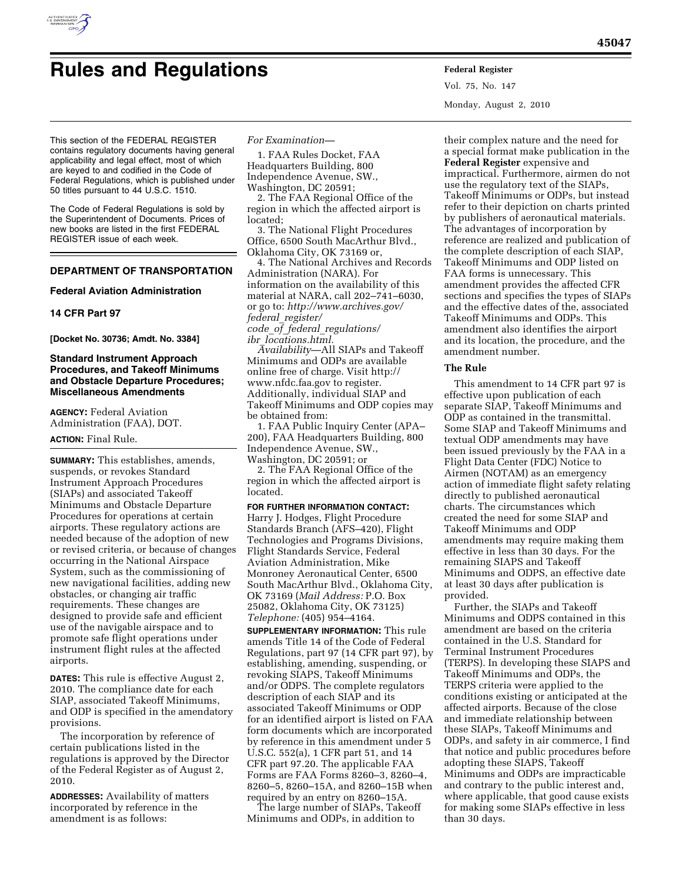

# **Rules and Regulations Federal Register**

Vol. 75, No. 147 Monday, August 2, 2010

This section of the FEDERAL REGISTER contains regulatory documents having general applicability and legal effect, most of which are keyed to and codified in the Code of Federal Regulations, which is published under 50 titles pursuant to 44 U.S.C. 1510.

The Code of Federal Regulations is sold by the Superintendent of Documents. Prices of new books are listed in the first FEDERAL REGISTER issue of each week.

# **DEPARTMENT OF TRANSPORTATION**

## **Federal Aviation Administration**

## **14 CFR Part 97**

**[Docket No. 30736; Amdt. No. 3384]** 

## **Standard Instrument Approach Procedures, and Takeoff Minimums and Obstacle Departure Procedures; Miscellaneous Amendments**

**AGENCY:** Federal Aviation Administration (FAA), DOT.

# **ACTION:** Final Rule.

**SUMMARY:** This establishes, amends, suspends, or revokes Standard Instrument Approach Procedures (SIAPs) and associated Takeoff Minimums and Obstacle Departure Procedures for operations at certain airports. These regulatory actions are needed because of the adoption of new or revised criteria, or because of changes occurring in the National Airspace System, such as the commissioning of new navigational facilities, adding new obstacles, or changing air traffic requirements. These changes are designed to provide safe and efficient use of the navigable airspace and to promote safe flight operations under instrument flight rules at the affected airports.

**DATES:** This rule is effective August 2, 2010. The compliance date for each SIAP, associated Takeoff Minimums, and ODP is specified in the amendatory provisions.

The incorporation by reference of certain publications listed in the regulations is approved by the Director of the Federal Register as of August 2, 2010.

**ADDRESSES:** Availability of matters incorporated by reference in the amendment is as follows:

## *For Examination—*

1. FAA Rules Docket, FAA Headquarters Building, 800 Independence Avenue, SW., Washington, DC 20591;

2. The FAA Regional Office of the region in which the affected airport is located;

3. The National Flight Procedures Office, 6500 South MacArthur Blvd., Oklahoma City, OK 73169 or,

4. The National Archives and Records Administration (NARA). For information on the availability of this material at NARA, call 202–741–6030, or go to: *[http://www.archives.gov/](http://www.archives.gov/federal_register/code_of_federal_regulations/ibr_locations.html)  federal*\_*register/ code*\_*of*\_*federal*\_*regulations/* 

*ibr*\_*locations.html.* 

*Availability*—All SIAPs and Takeoff Minimums and ODPs are available [online free of charge. Visit http://](http://www.nfdc.faa.gov)  www.nfdc.faa.gov to register. Additionally, individual SIAP and Takeoff Minimums and ODP copies may be obtained from:

1. FAA Public Inquiry Center (APA– 200), FAA Headquarters Building, 800 Independence Avenue, SW., Washington, DC 20591; or

2. The FAA Regional Office of the region in which the affected airport is located.

## **FOR FURTHER INFORMATION CONTACT:**

Harry J. Hodges, Flight Procedure Standards Branch (AFS–420), Flight Technologies and Programs Divisions, Flight Standards Service, Federal Aviation Administration, Mike Monroney Aeronautical Center, 6500 South MacArthur Blvd., Oklahoma City, OK 73169 (*Mail Address:* P.O. Box 25082, Oklahoma City, OK 73125) *Telephone:* (405) 954–4164.

**SUPPLEMENTARY INFORMATION:** This rule amends Title 14 of the Code of Federal Regulations, part 97 (14 CFR part 97), by establishing, amending, suspending, or revoking SIAPS, Takeoff Minimums and/or ODPS. The complete regulators description of each SIAP and its associated Takeoff Minimums or ODP for an identified airport is listed on FAA form documents which are incorporated by reference in this amendment under 5 U.S.C. 552(a), 1 CFR part 51, and 14 CFR part 97.20. The applicable FAA Forms are FAA Forms 8260–3, 8260–4, 8260–5, 8260–15A, and 8260–15B when required by an entry on 8260–15A.

The large number of SIAPs, Takeoff Minimums and ODPs, in addition to

their complex nature and the need for a special format make publication in the **Federal Register** expensive and impractical. Furthermore, airmen do not use the regulatory text of the SIAPs, Takeoff Minimums or ODPs, but instead refer to their depiction on charts printed by publishers of aeronautical materials. The advantages of incorporation by reference are realized and publication of the complete description of each SIAP, Takeoff Minimums and ODP listed on FAA forms is unnecessary. This amendment provides the affected CFR sections and specifies the types of SIAPs and the effective dates of the, associated Takeoff Minimums and ODPs. This amendment also identifies the airport and its location, the procedure, and the amendment number.

## **The Rule**

This amendment to 14 CFR part 97 is effective upon publication of each separate SIAP, Takeoff Minimums and ODP as contained in the transmittal. Some SIAP and Takeoff Minimums and textual ODP amendments may have been issued previously by the FAA in a Flight Data Center (FDC) Notice to Airmen (NOTAM) as an emergency action of immediate flight safety relating directly to published aeronautical charts. The circumstances which created the need for some SIAP and Takeoff Minimums and ODP amendments may require making them effective in less than 30 days. For the remaining SIAPS and Takeoff Minimums and ODPS, an effective date at least 30 days after publication is provided.

Further, the SIAPs and Takeoff Minimums and ODPS contained in this amendment are based on the criteria contained in the U.S. Standard for Terminal Instrument Procedures (TERPS). In developing these SIAPS and Takeoff Minimums and ODPs, the TERPS criteria were applied to the conditions existing or anticipated at the affected airports. Because of the close and immediate relationship between these SIAPs, Takeoff Minimums and ODPs, and safety in air commerce, I find that notice and public procedures before adopting these SIAPS, Takeoff Minimums and ODPs are impracticable and contrary to the public interest and, where applicable, that good cause exists for making some SIAPs effective in less than 30 days.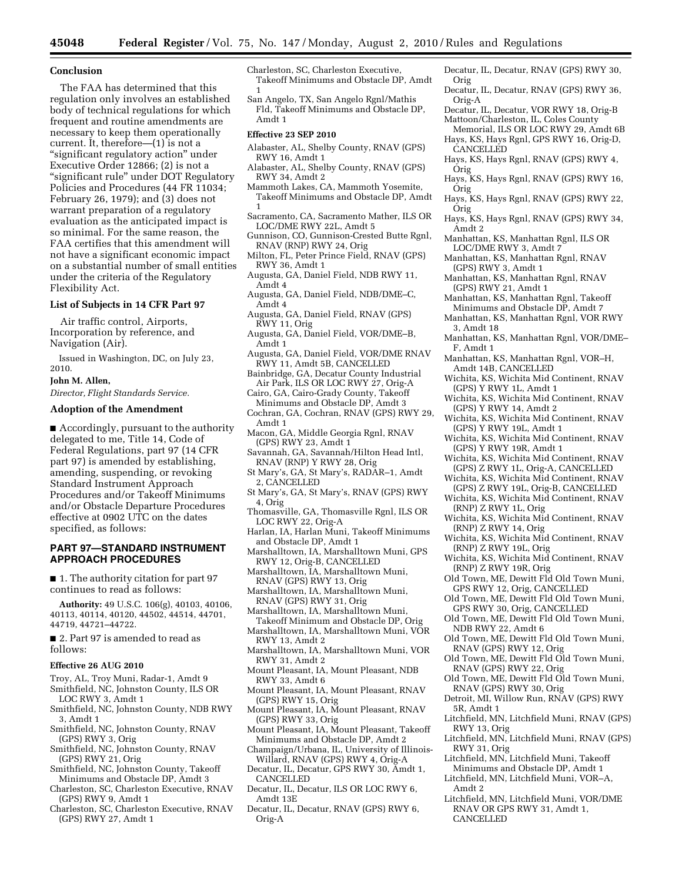#### **Conclusion**

The FAA has determined that this regulation only involves an established body of technical regulations for which frequent and routine amendments are necessary to keep them operationally current. It, therefore—(1) is not a ''significant regulatory action'' under Executive Order 12866; (2) is not a ''significant rule'' under DOT Regulatory Policies and Procedures (44 FR 11034; February 26, 1979); and (3) does not warrant preparation of a regulatory evaluation as the anticipated impact is so minimal. For the same reason, the FAA certifies that this amendment will not have a significant economic impact on a substantial number of small entities under the criteria of the Regulatory Flexibility Act.

## **List of Subjects in 14 CFR Part 97**

Air traffic control, Airports, Incorporation by reference, and Navigation (Air).

Issued in Washington, DC, on July 23, 2010.

## **John M. Allen,**

*Director, Flight Standards Service.* 

## **Adoption of the Amendment**

■ Accordingly, pursuant to the authority delegated to me, Title 14, Code of Federal Regulations, part 97 (14 CFR part 97) is amended by establishing, amending, suspending, or revoking Standard Instrument Approach Procedures and/or Takeoff Minimums and/or Obstacle Departure Procedures effective at 0902 UTC on the dates specified, as follows:

## **PART 97—STANDARD INSTRUMENT APPROACH PROCEDURES**

■ 1. The authority citation for part 97 continues to read as follows:

**Authority:** 49 U.S.C. 106(g), 40103, 40106, 40113, 40114, 40120, 44502, 44514, 44701, 44719, 44721–44722.

■ 2. Part 97 is amended to read as follows:

#### **Effective 26 AUG 2010**

- Troy, AL, Troy Muni, Radar-1, Amdt 9 Smithfield, NC, Johnston County, ILS OR
- LOC RWY 3, Amdt 1
- Smithfield, NC, Johnston County, NDB RWY 3, Amdt 1
- Smithfield, NC, Johnston County, RNAV (GPS) RWY 3, Orig
- Smithfield, NC, Johnston County, RNAV (GPS) RWY 21, Orig
- Smithfield, NC, Johnston County, Takeoff Minimums and Obstacle DP, Amdt 3
- Charleston, SC, Charleston Executive, RNAV (GPS) RWY 9, Amdt 1
- Charleston, SC, Charleston Executive, RNAV (GPS) RWY 27, Amdt 1

Charleston, SC, Charleston Executive, Takeoff Minimums and Obstacle DP, Amdt 1

San Angelo, TX, San Angelo Rgnl/Mathis Fld, Takeoff Minimums and Obstacle DP, Amdt 1

#### **Effective 23 SEP 2010**

- Alabaster, AL, Shelby County, RNAV (GPS) RWY 16, Amdt 1
- Alabaster, AL, Shelby County, RNAV (GPS) RWY 34, Amdt 2
- Mammoth Lakes, CA, Mammoth Yosemite, Takeoff Minimums and Obstacle DP, Amdt 1
- Sacramento, CA, Sacramento Mather, ILS OR LOC/DME RWY 22L, Amdt 5
- Gunnison, CO, Gunnison-Crested Butte Rgnl, RNAV (RNP) RWY 24, Orig
- Milton, FL, Peter Prince Field, RNAV (GPS) RWY 36, Amdt 1
- Augusta, GA, Daniel Field, NDB RWY 11, Amdt 4
- Augusta, GA, Daniel Field, NDB/DME–C, Amdt 4
- Augusta, GA, Daniel Field, RNAV (GPS) RWY 11, Orig
- Augusta, GA, Daniel Field, VOR/DME–B, Amdt 1
- Augusta, GA, Daniel Field, VOR/DME RNAV RWY 11, Amdt 5B, CANCELLED
- Bainbridge, GA, Decatur County Industrial Air Park, ILS OR LOC RWY 27, Orig-A
- Cairo, GA, Cairo-Grady County, Takeoff Minimums and Obstacle DP, Amdt 3
- Cochran, GA, Cochran, RNAV (GPS) RWY 29, Amdt 1
- Macon, GA, Middle Georgia Rgnl, RNAV (GPS) RWY 23, Amdt 1
- Savannah, GA, Savannah/Hilton Head Intl, RNAV (RNP) Y RWY 28, Orig
- St Mary's, GA, St Mary's, RADAR–1, Amdt 2, CANCELLED
- St Mary's, GA, St Mary's, RNAV (GPS) RWY 4, Orig
- Thomasville, GA, Thomasville Rgnl, ILS OR LOC RWY 22, Orig-A
- Harlan, IA, Harlan Muni, Takeoff Minimums and Obstacle DP, Amdt 1
- Marshalltown, IA, Marshalltown Muni, GPS RWY 12, Orig-B, CANCELLED
- Marshalltown, IA, Marshalltown Muni, RNAV (GPS) RWY 13, Orig
- Marshalltown, IA, Marshalltown Muni, RNAV (GPS) RWY 31, Orig
- Marshalltown, IA, Marshalltown Muni, Takeoff Minimum and Obstacle DP, Orig
- Marshalltown, IA, Marshalltown Muni, VOR RWY 13, Amdt 2
- Marshalltown, IA, Marshalltown Muni, VOR RWY 31, Amdt 2
- Mount Pleasant, IA, Mount Pleasant, NDB RWY 33, Amdt 6
- Mount Pleasant, IA, Mount Pleasant, RNAV (GPS) RWY 15, Orig
- Mount Pleasant, IA, Mount Pleasant, RNAV (GPS) RWY 33, Orig
- Mount Pleasant, IA, Mount Pleasant, Takeoff Minimums and Obstacle DP, Amdt 2
- Champaign/Urbana, IL, University of Illinois-Willard, RNAV (GPS) RWY 4, Orig-A Decatur, IL, Decatur, GPS RWY 30, Amdt 1,
- CANCELLED Decatur, IL, Decatur, ILS OR LOC RWY 6,
- Amdt 13E
- Decatur, IL, Decatur, RNAV (GPS) RWY 6, Orig-A
- Decatur, IL, Decatur, RNAV (GPS) RWY 30, Orig
- Decatur, IL, Decatur, RNAV (GPS) RWY 36, Orig-A
- Decatur, IL, Decatur, VOR RWY 18, Orig-B Mattoon/Charleston, IL, Coles County
- Memorial, ILS OR LOC RWY 29, Amdt 6B Hays, KS, Hays Rgnl, GPS RWY 16, Orig-D, CANCELLED
- Hays, KS, Hays Rgnl, RNAV (GPS) RWY 4, Orig
- Hays, KS, Hays Rgnl, RNAV (GPS) RWY 16, Orig
- Hays, KS, Hays Rgnl, RNAV (GPS) RWY 22, Orig
- Hays, KS, Hays Rgnl, RNAV (GPS) RWY 34, Amdt 2
- Manhattan, KS, Manhattan Rgnl, ILS OR LOC/DME RWY 3, Amdt 7
- Manhattan, KS, Manhattan Rgnl, RNAV (GPS) RWY 3, Amdt 1
- Manhattan, KS, Manhattan Rgnl, RNAV (GPS) RWY 21, Amdt 1
- Manhattan, KS, Manhattan Rgnl, Takeoff Minimums and Obstacle DP, Amdt 7
- Manhattan, KS, Manhattan Rgnl, VOR RWY 3, Amdt 18
- Manhattan, KS, Manhattan Rgnl, VOR/DME– F, Amdt 1
- Manhattan, KS, Manhattan Rgnl, VOR–H, Amdt 14B, CANCELLED
- Wichita, KS, Wichita Mid Continent, RNAV (GPS) Y RWY 1L, Amdt 1
- Wichita, KS, Wichita Mid Continent, RNAV (GPS) Y RWY 14, Amdt 2
- Wichita, KS, Wichita Mid Continent, RNAV (GPS) Y RWY 19L, Amdt 1
- Wichita, KS, Wichita Mid Continent, RNAV (GPS) Y RWY 19R, Amdt 1
- Wichita, KS, Wichita Mid Continent, RNAV (GPS) Z RWY 1L, Orig-A, CANCELLED
- Wichita, KS, Wichita Mid Continent, RNAV (GPS) Z RWY 19L, Orig-B, CANCELLED
- Wichita, KS, Wichita Mid Continent, RNAV (RNP) Z RWY 1L, Orig
- Wichita, KS, Wichita Mid Continent, RNAV (RNP) Z RWY 14, Orig
- Wichita, KS, Wichita Mid Continent, RNAV (RNP) Z RWY 19L, Orig
- Wichita, KS, Wichita Mid Continent, RNAV (RNP) Z RWY 19R, Orig
- Old Town, ME, Dewitt Fld Old Town Muni, GPS RWY 12, Orig, CANCELLED
- Old Town, ME, Dewitt Fld Old Town Muni,
- GPS RWY 30, Orig, CANCELLED Old Town, ME, Dewitt Fld Old Town Muni,
- NDB RWY 22, Amdt 6 Old Town, ME, Dewitt Fld Old Town Muni,
- RNAV (GPS) RWY 12, Orig Old Town, ME, Dewitt Fld Old Town Muni,
- RNAV (GPS) RWY 22, Orig
- Old Town, ME, Dewitt Fld Old Town Muni, RNAV (GPS) RWY 30, Orig
- Detroit, MI, Willow Run, RNAV (GPS) RWY 5R, Amdt 1
- Litchfield, MN, Litchfield Muni, RNAV (GPS) RWY 13, Orig
- Litchfield, MN, Litchfield Muni, RNAV (GPS) RWY 31, Orig
- Litchfield, MN, Litchfield Muni, Takeoff Minimums and Obstacle DP, Amdt 1
- Litchfield, MN, Litchfield Muni, VOR–A, Amdt 2
- Litchfield, MN, Litchfield Muni, VOR/DME RNAV OR GPS RWY 31, Amdt 1, CANCELLED
-